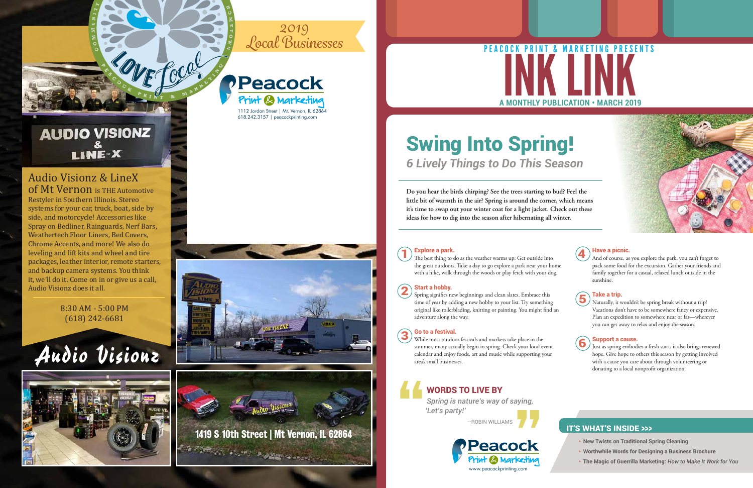- **• New Twists on Traditional Spring Cleaning**
- **• Worthwhile Words for Designing a Business Brochure**
- **• The Magic of Guerrilla Marketing:** *How to Make It Work for You*

#### IT'S WHAT'S INSIDE >>>

**The best thing to do as the weather warms up: Get outside into** the great outdoors. Take a day to go explore a park near your home with a hike, walk through the woods or play fetch with your dog.

**Do you hear the birds chirping? See the trees starting to bud? Feel the little bit of warmth in the air? Spring is around the corner, which means it's time to swap out your winter coat for a light jacket. Check out these ideas for how to dig into the season after hibernating all winter.**

Spring signifies new beginnings and clean slates. Embrace this time of year by adding a new hobby to your list. Try something original like rollerblading, knitting or painting. You might find an adventure along the way. Start a hobby.<br>
Spring signifies new beginnings and clean slates. Embrace this<br>
time of year by adding a new hobby to your list. Try something

#### Explore a park.

#### Start a hobby.

#### Go to a festival.

While most outdoor festivals and markets take place in the So to a festival.<br>
While most outdoor festivals and markets take place in the<br>
summer, many actually begin in spring. Check your local event calendar and enjoy foods, art and music while supporting your area's small businesses.

#### Have a picnic.

And of course, as you explore the park, you can't forget to pack some food for the excursion. Gather your friends and family together for a casual, relaxed lunch outside in the sunshine.



#### Take a trip.

Naturally, it wouldn't be spring break without a trip! Vacations don't have to be somewhere fancy or expensive. Plan an expedition to somewhere near or far—wherever you can get away to relax and enjoy the season.



#### Support a cause.

Just as spring embodies a fresh start, it also brings renewed hope. Give hope to others this season by getting involved with a cause you care about through volunteering or donating to a local nonprofit organization.

## Swing Into Spring! *6 Lively Things to Do This Season*

*Spring is nature's way of saying, 'Let's party!'*

—ROBIN WILLIAMS

## WORDS TO LIVE BY



# **A MONTHLY PUBLICATION • MARCH 2019**



**C**



**M MUNI T**

**<sup>Y</sup> • <sup>N</sup> <sup>E</sup> <sup>I</sup> <sup>G</sup> <sup>H</sup> <sup>B</sup> <sup>O</sup> <sup>R</sup> <sup>S</sup> • <sup>S</sup> <sup>H</sup> <sup>O</sup> <sup>P</sup> • <sup>F</sup> <sup>R</sup> <sup>I</sup> <sup>E</sup> <sup>N</sup> <sup>D</sup>**

**H**



1112 Jordan Street | Mt. Vernon, IL 62864 618.242.3157 | peacockprinting.com

## **AUDIO VISIONZ** LINE-X

**<sup>E</sup> <sup>A</sup> <sup>C</sup> <sup>O</sup> <sup>C</sup> <sup>K</sup> <sup>P</sup> <sup>R</sup> <sup>I</sup> <sup>N</sup> <sup>T</sup> & <sup>M</sup> <sup>A</sup> <sup>R</sup> <sup>K</sup> <sup>E</sup> <sup>T</sup> <sup>I</sup> <sup>N</sup>**

#### Audio Visionz & LineX of Mt Vernon is THE Automotive



Restyler in Southern Illinois. Stereo systems for your car, truck, boat, side by side, and motorcycle! Accessories like Spray on Bedliner, Rainguards, Nerf Bars, Weathertech Floor Liners, Bed Covers, Chrome Accents, and more! We also do leveling and lift kits and wheel and tire packages, leather interior, remote starters, and backup camera systems. You think it, we'll do it. Come on in or give us a call, Audio Visionz does it all.

#### 8:30 AM - 5:00 PM (618) 242-6681

# Audio Visionz